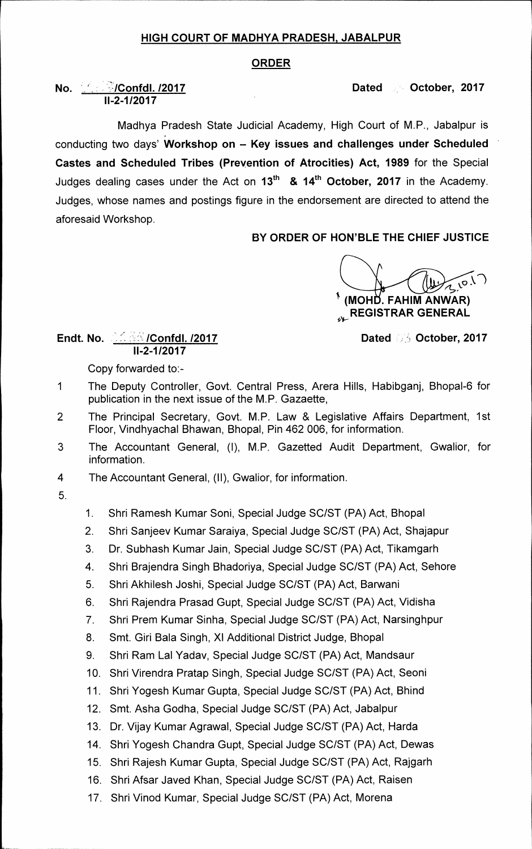### **HIGH COURT OF MADHYA PRADESH, JABALPUR**

#### **ORDER**

## **No.**  $\frac{1}{2}$  **Confdl. /2017 Dated Of October, 2017 11-2-1/2017**

**Madhya Pradesh State Judicial Academy, High Court of M.P., Jabalpur is conducting two days' Workshop on — Key issues and challenges under Scheduled Castes and Scheduled Tribes (Prevention of Atrocities) Act, 1989 for the Special**  Judges dealing cases under the Act on 13<sup>th</sup> & 14<sup>th</sup> October, 2017 in the Academy. **Judges, whose names and postings figure in the endorsement are directed to attend the aforesaid Workshop.** 

# **BY ORDER OF HON'BLE THE CHIEF JUSTICE**

**4p.v (MOHi. FAHIM ANWAR) REGISTRAR GENERAL** 

#### **Endt. No. 26. 2017 Confdl. /2017 Dated Of October, 2017 11-2-1/2017**

**Copy forwarded to:-** 

- **1 The Deputy Controller, Govt. Central Press, Arera Hills, Habibganj, Bhopal-6 for publication in the next issue of the M.P. Gazaette,**
- **2 The Principal Secretary, Govt. M.P. Law & Legislative Affairs Department, 1st Floor, Vindhyachal Bhawan, Bhopal, Pin 462 006, for information.**
- **3 The Accountant General, (I), M.P. Gazetted Audit Department, Gwalior, for information.**
- **4 The Accountant General, (II), Gwalior, for information.**
- **5.**
- **1. Shri Ramesh Kumar Soni, Special Judge SC/ST (PA) Act, Bhopal**
- **2. Shri Sanjeev Kumar Saraiya, Special Judge SC/ST (PA) Act, Shajapur**
- **3. Dr. Subhash Kumar Jain, Special Judge SC/ST (PA) Act, Tikamgarh**
- **4. Shri Brajendra Singh Bhadoriya, Special Judge SC/ST (PA) Act, Sehore**
- **5. Shri Akhilesh Joshi, Special Judge SC/ST (PA) Act, Barwani**
- **6. Shri Rajendra Prasad Gupt, Special Judge SC/ST (PA) Act, Vidisha**
- **7. Shri Prem Kumar Sinha, Special Judge SC/ST (PA) Act, Narsinghpur**
- 8. Smt. Giri Bala Singh, XI Additional District Judge, Bhopal
- **9. Shri Ram Lal Yadav, Special Judge SC/ST (PA) Act, Mandsaur**
- **10. Shri Virendra Pratap Singh, Special Judge SC/ST (PA) Act, Seoni**
- **11. Shri Yogesh Kumar Gupta, Special Judge SC/ST (PA) Act, Bhind**
- **12. Smt. Asha Godha, Special Judge SC/ST (PA) Act, Jabalpur**
- **13. Dr. Vijay Kumar Agrawal, Special Judge SC/ST (PA) Act, Harda**
- **14. Shri Yogesh Chandra Gupt, Special Judge SC/ST (PA) Act, Dewas**
- **15. Shri Rajesh Kumar Gupta, Special Judge SC/ST (PA) Act, Rajgarh**
- **16. Shri Afsar Javed Khan, Special Judge SC/ST (PA) Act, Raisen**
- **17. Shri Vinod Kumar, Special Judge SC/ST (PA) Act, Morena**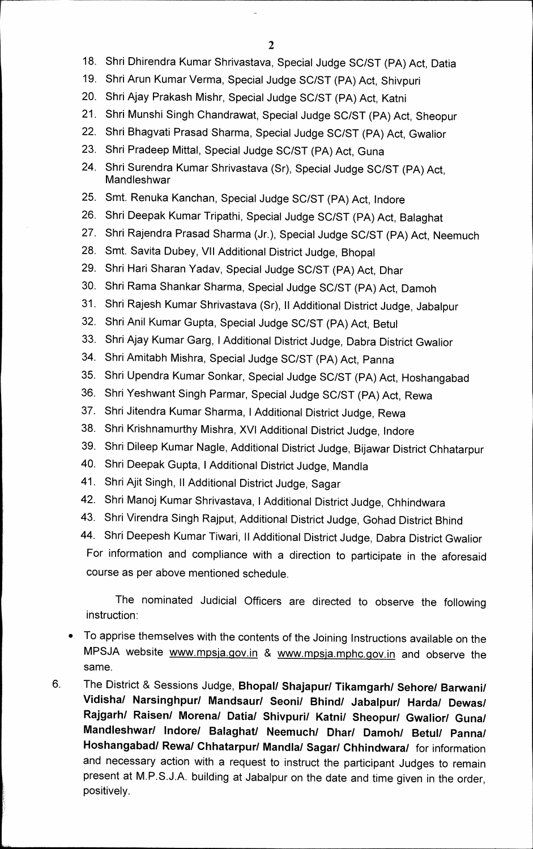- **18. Shri Dhirendra Kumar Shrivastava, Special Judge SC/ST (PA) Act, Datia**
- **19. Shri Arun Kumar Verma, Special Judge SC/ST (PA) Act, Shivpuri**
- **20. Shri Ajay Prakash Mishr, Special Judge SC/ST (PA) Act, Katni**
- **21. Shri Munshi Singh Chandrawat, Special Judge SC/ST (PA) Act, Sheopur**
- **22. Shri Bhagvati Prasad Sharma, Special Judge SC/ST (PA) Act, Gwalior**
- **23. Shri Pradeep Mittal, Special Judge SC/ST (PA) Act, Guna**
- **24. Shri Surendra Kumar Shrivastava (Sr), Special Judge SC/ST (PA) Act, Mandleshwar**
- **25. Smt. Renuka Kanchan, Special Judge SC/ST (PA) Act, Indore**
- **26. Shri Deepak Kumar Tripathi, Special Judge SC/ST (PA) Act, Balaghat**
- **27. Shri Rajendra Prasad Sharma (Jr.), Special Judge SC/ST (PA) Act, Neemuch**
- **28. Smt. Savita Dubey, VII Additional District Judge, Bhopal**
- **29. Shri Hari Sharan Yadav, Special Judge SC/ST (PA) Act, Dhar**
- **30. Shri Rama Shankar Sharma, Special Judge SC/ST (PA) Act, Damoh**
- **31. Shri Rajesh Kumar Shrivastava (Sr), II Additional District Judge, Jabalpur**
- **32. Shri Anil Kumar Gupta, Special Judge SC/ST (PA) Act, Betul**
- **33. Shri Ajay Kumar Garg, I Additional District Judge, Dabra District Gwalior**
- **34. Shri Amitabh Mishra, Special Judge SC/ST (PA) Act, Panna**
- **35. Shri Upendra Kumar Sonkar, Special Judge SC/ST (PA) Act, Hoshangabad**
- **36. Shri Yeshwant Singh Parmar, Special Judge SC/ST (PA) Act, Rewa**
- **37. Shri Jitendra Kumar Sharma, I Additional District Judge, Rewa**
- **38. Shri Krishnamurthy Mishra, XVI Additional District Judge, Indore**
- **39. Shri Dileep Kumar Nagle, Additional District Judge, Bijawar District Chhatarpur**
- **40. Shri Deepak Gupta, I Additional District Judge, Mandla**
- **41. Shri Ajit Singh, II Additional District Judge, Sagar**
- **42. Shri Manoj Kumar Shrivastava, I Additional District Judge, Chhindwara**
- **43. Shri Virendra Singh Rajput, Additional District Judge, Gohad District Bhind**

**44. Shri Deepesh Kumar Tiwari, II Additional District Judge, Dabra District Gwalior For information and compliance with a direction to participate in the aforesaid course as per above mentioned schedule.** 

**The nominated Judicial Officers are directed to observe the following instruction:** 

- **To apprise themselves with the contents of the Joining Instructions available on the MPSJA website www.mpsja.gov.in & vvvvw.mpsja.mphc.gov.in and observe the same.**
- **6. The District & Sessions Judge, Bhopal/ Shajapur/ Tikamgarh/ Sehore/ Barwani/ Vidisha/ Narsinghpur/ Mandsaur/ Seoni/ Bhind/ Jabalpur/ Harda/ Dewas/ Rajgarh/ Raisen/ Morena/ Datia/ Shivpuri/ Katni/ Sheopur/ Gwalior/ Guna/ Mandleshwar/ Indore/ Balaghat/ Neemuch/ Dhar/ Damoh/ Betul/ Panna/ Hoshangabad/ Rewa/ Chhatarpur/ Mandla/ Sagan/ Chhindwara/ for information and necessary action with a request to instruct the participant Judges to remain present at M.P.S.J.A. building at Jabalpur on the date and time given in the order, positively.**